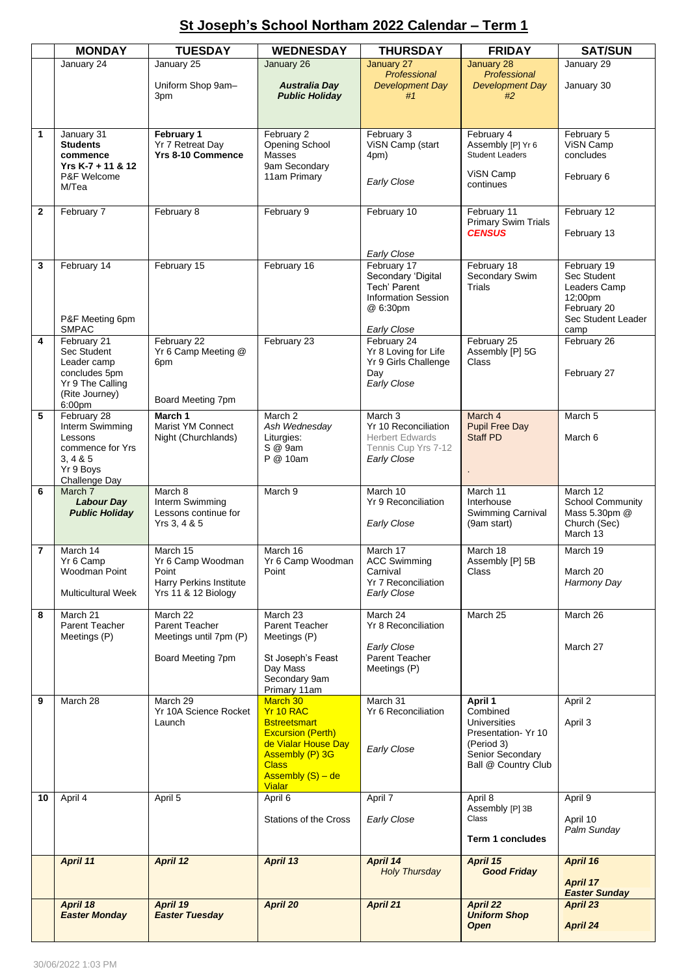## **St Joseph's School Northam 2022 Calendar – Term 1**

|              | <b>MONDAY</b>                                                                                              | <b>TUESDAY</b>                                                                                  | <b>WEDNESDAY</b>                                                                                                                                                           | <b>THURSDAY</b>                                                                                                           | <b>FRIDAY</b>                                                                                                             | <b>SAT/SUN</b>                                                                                     |
|--------------|------------------------------------------------------------------------------------------------------------|-------------------------------------------------------------------------------------------------|----------------------------------------------------------------------------------------------------------------------------------------------------------------------------|---------------------------------------------------------------------------------------------------------------------------|---------------------------------------------------------------------------------------------------------------------------|----------------------------------------------------------------------------------------------------|
|              | January 24                                                                                                 | January 25                                                                                      | January 26                                                                                                                                                                 | January 27                                                                                                                | January 28                                                                                                                | January 29                                                                                         |
|              |                                                                                                            | Uniform Shop 9am-<br>3pm                                                                        | <b>Australia Day</b><br><b>Public Holiday</b>                                                                                                                              | Professional<br><b>Development Day</b><br>#1                                                                              | Professional<br><b>Development Day</b><br>#2                                                                              | January 30                                                                                         |
| 1            | January 31<br><b>Students</b><br>commence<br>Yrs K-7 + 11 & 12<br>P&F Welcome<br>M/Tea                     | February 1<br>Yr 7 Retreat Day<br><b>Yrs 8-10 Commence</b>                                      | February 2<br>Opening School<br>Masses<br>9am Secondary<br>11am Primary                                                                                                    | February 3<br>ViSN Camp (start<br>4pm)<br>Early Close                                                                     | February 4<br>Assembly [P] Yr 6<br><b>Student Leaders</b><br>ViSN Camp<br>continues                                       | February 5<br>ViSN Camp<br>concludes<br>February 6                                                 |
| $\mathbf{2}$ | February 7                                                                                                 | February 8                                                                                      | February 9                                                                                                                                                                 | February 10                                                                                                               | February 11<br><b>Primary Swim Trials</b><br><b>CENSUS</b>                                                                | February 12<br>February 13                                                                         |
| 3            | February 14<br>P&F Meeting 6pm<br><b>SMPAC</b>                                                             | February 15                                                                                     | February 16                                                                                                                                                                | Early Close<br>February 17<br>Secondary 'Digital<br>Tech' Parent<br><b>Information Session</b><br>@ 6:30pm<br>Early Close | February 18<br>Secondary Swim<br><b>Trials</b>                                                                            | February 19<br>Sec Student<br>Leaders Camp<br>12;00pm<br>February 20<br>Sec Student Leader<br>camp |
| 4            | February 21<br>Sec Student<br>Leader camp<br>concludes 5pm<br>Yr 9 The Calling<br>(Rite Journey)<br>6:00pm | February 22<br>Yr 6 Camp Meeting @<br>6pm<br>Board Meeting 7pm                                  | February 23                                                                                                                                                                | February 24<br>Yr 8 Loving for Life<br>Yr 9 Girls Challenge<br>Day<br>Early Close                                         | February 25<br>Assembly [P] 5G<br>Class                                                                                   | February 26<br>February 27                                                                         |
| 5            | February 28<br>Interm Swimming<br>Lessons<br>commence for Yrs<br>3, 4 & 5<br>Yr 9 Boys<br>Challenge Day    | March 1<br>Marist YM Connect<br>Night (Churchlands)                                             | March 2<br>Ash Wednesday<br>Liturgies:<br>S @ 9am<br>P @ 10am                                                                                                              | March 3<br>Yr 10 Reconciliation<br><b>Herbert Edwards</b><br>Tennis Cup Yrs 7-12<br>Early Close                           | March 4<br><b>Pupil Free Day</b><br><b>Staff PD</b>                                                                       | March 5<br>March 6                                                                                 |
| 6            | March 7<br><b>Labour Day</b><br><b>Public Holiday</b>                                                      | March 8<br>Interm Swimming<br>Lessons continue for<br>Yrs 3, 4 & 5                              | March 9                                                                                                                                                                    | March 10<br><b>Yr 9 Reconciliation</b><br>Early Close                                                                     | March 11<br>Interhouse<br>Swimming Carnival<br>(9am start)                                                                | March 12<br><b>School Community</b><br>Mass 5.30pm @<br>Church (Sec)<br>March 13                   |
| 7            | March 14<br>Yr 6 Camp<br>Woodman Point<br><b>Multicultural Week</b>                                        | March 15<br>Yr 6 Camp Woodman<br>Point<br><b>Harry Perkins Institute</b><br>Yrs 11 & 12 Biology | March 16<br>Yr 6 Camp Woodman<br>Point                                                                                                                                     | March 17<br><b>ACC Swimming</b><br>Carnival<br>Yr 7 Reconciliation<br>Early Close                                         | March 18<br>Assembly [P] 5B<br>Class                                                                                      | March 19<br>March 20<br>Harmony Day                                                                |
| 8            | March 21<br>Parent Teacher<br>Meetings (P)                                                                 | March 22<br>Parent Teacher<br>Meetings until 7pm (P)<br>Board Meeting 7pm                       | March 23<br>Parent Teacher<br>Meetings (P)<br>St Joseph's Feast<br>Dav Mass<br>Secondary 9am<br>Primary 11am                                                               | March 24<br>Yr 8 Reconciliation<br>Early Close<br>Parent Teacher<br>Meetings (P)                                          | March 25                                                                                                                  | March 26<br>March 27                                                                               |
| 9            | March 28                                                                                                   | March 29<br>Yr 10A Science Rocket<br>Launch                                                     | March 30<br>Yr 10 RAC<br><b>Bstreetsmart</b><br><b>Excursion (Perth)</b><br>de Vialar House Day<br>Assembly (P) 3G<br><b>Class</b><br>Assembly $(S)$ – de<br><b>Vialar</b> | March 31<br>Yr 6 Reconciliation<br>Early Close                                                                            | April 1<br>Combined<br><b>Universities</b><br>Presentation-Yr 10<br>(Period 3)<br>Senior Secondary<br>Ball @ Country Club | April 2<br>April 3                                                                                 |
| 10           | April 4                                                                                                    | April 5                                                                                         | April 6<br><b>Stations of the Cross</b>                                                                                                                                    | April 7<br>Early Close                                                                                                    | April 8<br>Assembly [P] 3B<br>Class<br><b>Term 1 concludes</b>                                                            | April 9<br>April 10<br>Palm Sunday                                                                 |
|              | <b>April 11</b>                                                                                            | April 12                                                                                        | April 13                                                                                                                                                                   | April 14<br><b>Holy Thursday</b>                                                                                          | April 15<br><b>Good Friday</b>                                                                                            | April 16<br><b>April 17</b><br><b>Easter Sunday</b>                                                |
|              | April 18<br><b>Easter Monday</b>                                                                           | April 19<br><b>Easter Tuesday</b>                                                               | April 20                                                                                                                                                                   | April 21                                                                                                                  | <b>April 22</b><br><b>Uniform Shop</b><br><b>Open</b>                                                                     | April 23<br><b>April 24</b>                                                                        |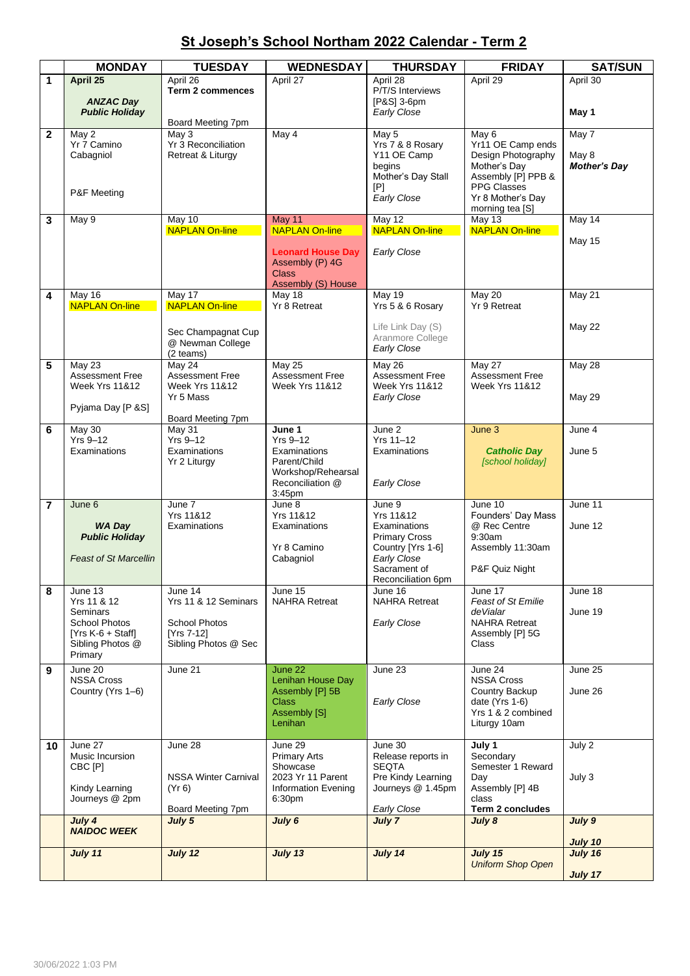## **St Joseph's School Northam 2022 Calendar - Term 2**

|                | <b>MONDAY</b>                          | <b>TUESDAY</b>                        | <b>WEDNESDAY</b>                         | <b>THURSDAY</b>                         | <b>FRIDAY</b>                       | <b>SAT/SUN</b>      |
|----------------|----------------------------------------|---------------------------------------|------------------------------------------|-----------------------------------------|-------------------------------------|---------------------|
| 1              | April 25                               | April 26                              | April 27                                 | April 28                                | April 29                            | April 30            |
|                |                                        | <b>Term 2 commences</b>               |                                          | P/T/S Interviews                        |                                     |                     |
|                | <b>ANZAC Day</b>                       |                                       |                                          | [P&S] 3-6pm                             |                                     |                     |
|                | <b>Public Holiday</b>                  | Board Meeting 7pm                     |                                          | Early Close                             |                                     | May 1               |
| $\mathbf{2}$   | May 2                                  | May 3                                 | May 4                                    | May 5                                   | May 6                               | May 7               |
|                | Yr 7 Camino                            | Yr 3 Reconciliation                   |                                          | Yrs 7 & 8 Rosary                        | Yr11 OE Camp ends                   |                     |
|                | Cabagniol                              | Retreat & Liturgy                     |                                          | Y11 OE Camp                             | Design Photography                  | May 8               |
|                |                                        |                                       |                                          | begins<br>Mother's Day Stall            | Mother's Day<br>Assembly [P] PPB &  | <b>Mother's Day</b> |
|                |                                        |                                       |                                          | [P]                                     | <b>PPG Classes</b>                  |                     |
|                | P&F Meeting                            |                                       |                                          | Early Close                             | Yr 8 Mother's Day                   |                     |
|                |                                        |                                       |                                          |                                         | morning tea [S]                     |                     |
| 3              | May 9                                  | May 10<br><b>NAPLAN On-line</b>       | <b>May 11</b><br><b>NAPLAN On-line</b>   | May 12<br><b>NAPLAN On-line</b>         | $\overline{May}$ 13                 | May 14              |
|                |                                        |                                       |                                          |                                         | <b>NAPLAN On-line</b>               | May 15              |
|                |                                        |                                       | <b>Leonard House Day</b>                 | Early Close                             |                                     |                     |
|                |                                        |                                       | Assembly (P) 4G                          |                                         |                                     |                     |
|                |                                        |                                       | <b>Class</b><br>Assembly (S) House       |                                         |                                     |                     |
| 4              | May 16                                 | May 17                                | May 18                                   | May 19                                  | <b>May 20</b>                       | May 21              |
|                | <b>NAPLAN On-line</b>                  | <b>NAPLAN On-line</b>                 | Yr 8 Retreat                             | Yrs 5 & 6 Rosary                        | Yr 9 Retreat                        |                     |
|                |                                        |                                       |                                          |                                         |                                     |                     |
|                |                                        | Sec Champagnat Cup                    |                                          | Life Link Day (S)<br>Aranmore College   |                                     | <b>May 22</b>       |
|                |                                        | @ Newman College                      |                                          | Early Close                             |                                     |                     |
| 5              | May 23                                 | (2 teams)<br>May 24                   | $\overline{\text{May }25}$               | May 26                                  | <b>May 27</b>                       | <b>May 28</b>       |
|                | Assessment Free                        | <b>Assessment Free</b>                | Assessment Free                          | Assessment Free                         | <b>Assessment Free</b>              |                     |
|                | <b>Week Yrs 11&amp;12</b>              | <b>Week Yrs 11&amp;12</b>             | <b>Week Yrs 11&amp;12</b>                | <b>Week Yrs 11&amp;12</b>               | <b>Week Yrs 11&amp;12</b>           |                     |
|                |                                        | Yr 5 Mass                             |                                          | <b>Early Close</b>                      |                                     | <b>May 29</b>       |
|                | Pyjama Day [P &S]                      | Board Meeting 7pm                     |                                          |                                         |                                     |                     |
| 6              | May 30                                 | May 31                                | June 1                                   | June 2                                  | June 3                              | June 4              |
|                | $Yrs$ 9-12                             | Yrs 9-12                              | $Yrs$ 9-12                               | Yrs 11-12                               |                                     |                     |
|                | Examinations                           | Examinations                          | Examinations                             | Examinations                            | <b>Catholic Day</b>                 | June 5              |
|                |                                        | Yr 2 Liturgy                          | Parent/Child<br>Workshop/Rehearsal       |                                         | [school holiday]                    |                     |
|                |                                        |                                       | Reconciliation @                         | Early Close                             |                                     |                     |
|                |                                        |                                       | 3:45pm                                   |                                         |                                     |                     |
| $\overline{7}$ | June $6$                               | June 7                                | June 8                                   | June 9                                  | June 10                             | June 11             |
|                | <b>WA Day</b>                          | <b>Yrs 11&amp;12</b><br>Examinations  | <b>Yrs 11&amp;12</b><br>Examinations     | Yrs 11&12<br>Examinations               | Founders' Day Mass<br>@ Rec Centre  | June 12             |
|                | <b>Public Holiday</b>                  |                                       |                                          | <b>Primary Cross</b>                    | 9:30am                              |                     |
|                |                                        |                                       | Yr 8 Camino                              | Country [Yrs 1-6]                       | Assembly 11:30am                    |                     |
|                | <b>Feast of St Marcellin</b>           |                                       | Cabagniol                                | Early Close                             |                                     |                     |
|                |                                        |                                       |                                          | Sacrament of<br>Reconciliation 6pm      | P&F Quiz Night                      |                     |
| 8              | June 13                                | June 14                               | June 15                                  | June 16                                 | June 17                             | June 18             |
|                | Yrs 11 & 12                            | Yrs 11 & 12 Seminars                  | <b>NAHRA Retreat</b>                     | <b>NAHRA Retreat</b>                    | Feast of St Emilie                  |                     |
|                | Seminars<br><b>School Photos</b>       | <b>School Photos</b>                  |                                          | Early Close                             | deVialar<br><b>NAHRA Retreat</b>    | June 19             |
|                | $[Yrs K-6 + Staff]$                    | [Yrs 7-12]                            |                                          |                                         | Assembly [P] 5G                     |                     |
|                | Sibling Photos @                       | Sibling Photos @ Sec                  |                                          |                                         | Class                               |                     |
|                | Primary                                |                                       |                                          |                                         |                                     |                     |
| 9              | June 20                                | June 21                               | June 22                                  | June 23                                 | June 24                             | June 25             |
|                | <b>NSSA Cross</b><br>Country (Yrs 1-6) |                                       | Lenihan House Day<br>Assembly [P] 5B     |                                         | <b>NSSA Cross</b><br>Country Backup | June 26             |
|                |                                        |                                       | <b>Class</b>                             | Early Close                             | date ( $Yrs$ 1-6)                   |                     |
|                |                                        |                                       | Assembly [S]                             |                                         | Yrs 1 & 2 combined                  |                     |
|                |                                        |                                       | Lenihan                                  |                                         | Liturgy 10am                        |                     |
| 10             | June 27                                | June 28                               | June 29                                  | June 30                                 | July 1                              | July 2              |
|                | Music Incursion                        |                                       | <b>Primary Arts</b>                      | Release reports in                      | Secondary                           |                     |
|                | CBC [P]                                |                                       | Showcase                                 | <b>SEQTA</b>                            | Semester 1 Reward                   |                     |
|                | Kindy Learning                         | <b>NSSA Winter Carnival</b><br>(Yr 6) | 2023 Yr 11 Parent<br>Information Evening | Pre Kindy Learning<br>Journeys @ 1.45pm | Day<br>Assembly [P] 4B              | July 3              |
|                | Journeys @ 2pm                         |                                       | 6:30pm                                   |                                         | class                               |                     |
|                |                                        | Board Meeting 7pm                     |                                          | Early Close                             | Term 2 concludes                    |                     |
|                | July 4<br><b>NAIDOC WEEK</b>           | July 5                                | July 6                                   | July 7                                  | July 8                              | July 9              |
|                |                                        |                                       |                                          |                                         |                                     | July 10             |
|                | July 11                                | July 12                               | July 13                                  | July 14                                 | July 15                             | July 16             |
|                |                                        |                                       |                                          |                                         | <b>Uniform Shop Open</b>            |                     |
|                |                                        |                                       |                                          |                                         |                                     | July 17             |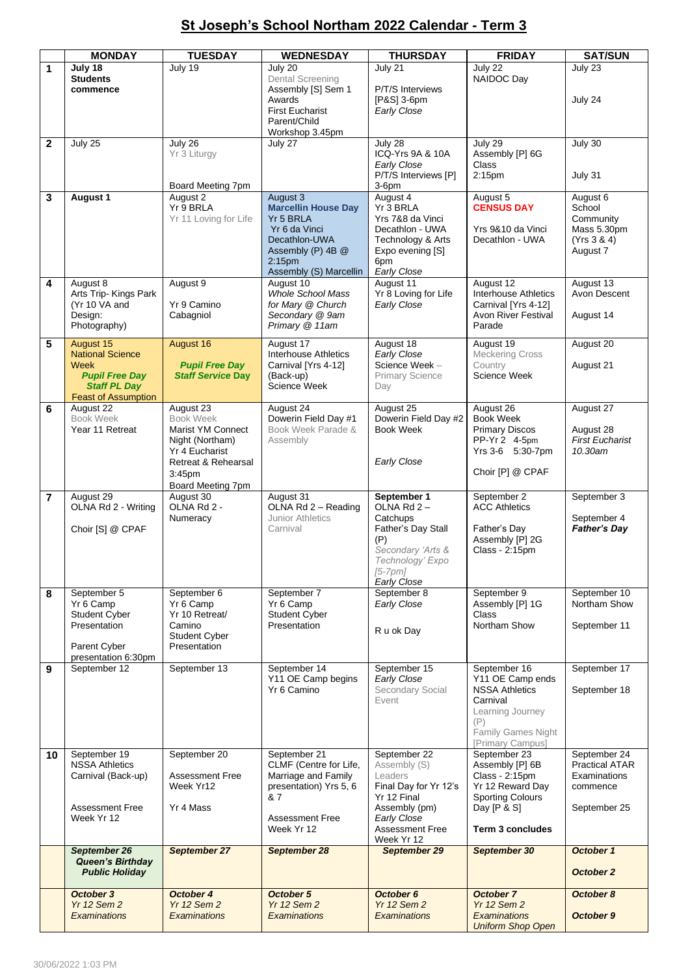## **St Joseph's School Northam 2022 Calendar - Term 3**

|                         | <b>MONDAY</b>                   | <b>TUESDAY</b>                      | <b>WEDNESDAY</b>                              | <b>THURSDAY</b>                          | <b>FRIDAY</b>                        | <b>SAT/SUN</b>           |
|-------------------------|---------------------------------|-------------------------------------|-----------------------------------------------|------------------------------------------|--------------------------------------|--------------------------|
| $\mathbf{1}$            | July 18                         | July 19                             | July 20                                       | July 21                                  | July 22                              | July 23                  |
|                         | <b>Students</b>                 |                                     | <b>Dental Screening</b>                       |                                          | NAIDOC Day                           |                          |
|                         | commence                        |                                     | Assembly [S] Sem 1                            | P/T/S Interviews                         |                                      |                          |
|                         |                                 |                                     | Awards                                        | [P&S] 3-6pm                              |                                      | July 24                  |
|                         |                                 |                                     | <b>First Eucharist</b>                        | Early Close                              |                                      |                          |
|                         |                                 |                                     | Parent/Child<br>Workshop 3.45pm               |                                          |                                      |                          |
| $\mathbf{2}$            | July 25                         | July 26                             | July 27                                       | July 28                                  | July 29                              | July 30                  |
|                         |                                 | Yr 3 Liturgy                        |                                               | ICQ-Yrs 9A & 10A                         | Assembly [P] 6G                      |                          |
|                         |                                 |                                     |                                               | Early Close                              | Class                                |                          |
|                         |                                 |                                     |                                               | P/T/S Interviews [P]                     | 2:15 <sub>pm</sub>                   | July 31                  |
|                         | <b>August 1</b>                 | Board Meeting 7pm<br>August 2       | August 3                                      | $3-6$ pm<br>August 4                     | August 5                             | August 6                 |
| 3                       |                                 | Yr 9 BRLA                           | <b>Marcellin House Day</b>                    | Yr 3 BRLA                                | <b>CENSUS DAY</b>                    | School                   |
|                         |                                 | Yr 11 Loving for Life               | Yr <sub>5</sub> BRLA                          | Yrs 7&8 da Vinci                         |                                      | Community                |
|                         |                                 |                                     | Yr 6 da Vinci                                 | Decathlon - UWA                          | Yrs 9&10 da Vinci                    | Mass 5.30pm              |
|                         |                                 |                                     | Decathlon-UWA                                 | Technology & Arts                        | Decathlon - UWA                      | (Yrs 3 & 4)              |
|                         |                                 |                                     | Assembly (P) 4B @                             | Expo evening [S]                         |                                      | August 7                 |
|                         |                                 |                                     | 2:15 <sub>pm</sub><br>Assembly (S) Marcellin  | 6pm<br>Early Close                       |                                      |                          |
| 4                       | August 8                        | August 9                            | August 10                                     | August 11                                | August 12                            | August 13                |
|                         | Arts Trip-Kings Park            |                                     | <b>Whole School Mass</b>                      | Yr 8 Loving for Life                     | <b>Interhouse Athletics</b>          | Avon Descent             |
|                         | (Yr 10 VA and                   | Yr 9 Camino                         | for Mary @ Church                             | Early Close                              | Carnival [Yrs 4-12]                  |                          |
|                         | Design:                         | Cabagniol                           | Secondary @ 9am                               |                                          | <b>Avon River Festival</b><br>Parade | August 14                |
|                         | Photography)                    |                                     | Primary @ 11am                                |                                          |                                      |                          |
| 5                       | August 15                       | August 16                           | August 17                                     | August 18                                | August 19                            | August 20                |
|                         | <b>National Science</b><br>Week | <b>Pupil Free Day</b>               | Interhouse Athletics<br>Carnival [Yrs 4-12]   | Early Close<br>Science Week -            | <b>Meckering Cross</b><br>Country    | August 21                |
|                         | <b>Pupil Free Day</b>           | <b>Staff Service Day</b>            | (Back-up)                                     | <b>Primary Science</b>                   | Science Week                         |                          |
|                         | <b>Staff PL Day</b>             |                                     | Science Week                                  | Day                                      |                                      |                          |
|                         | <b>Feast of Assumption</b>      |                                     |                                               |                                          |                                      |                          |
| 6                       | August 22<br><b>Book Week</b>   | August 23<br><b>Book Week</b>       | August 24                                     | August 25                                | August 26<br><b>Book Week</b>        | August 27                |
|                         | Year 11 Retreat                 | Marist YM Connect                   | Dowerin Field Day #1<br>Book Week Parade &    | Dowerin Field Day #2<br><b>Book Week</b> | <b>Primary Discos</b>                | August 28                |
|                         |                                 | Night (Northam)                     | Assembly                                      |                                          | PP-Yr 2 4-5pm                        | <b>First Eucharist</b>   |
|                         |                                 | Yr 4 Eucharist                      |                                               |                                          | Yrs 3-6 5:30-7pm                     | 10.30am                  |
|                         |                                 | Retreat & Rehearsal                 |                                               | Early Close                              |                                      |                          |
|                         |                                 | 3:45 <sub>pm</sub>                  |                                               |                                          | Choir [P] @ CPAF                     |                          |
|                         | August 29                       | Board Meeting 7pm<br>August 30      | August 31                                     | September 1                              | September 2                          | September 3              |
| $\overline{\mathbf{r}}$ | OLNA Rd 2 - Writing             | OLNA Rd 2 -                         | OLNA Rd 2 - Reading                           | OLNA Rd $2-$                             | <b>ACC Athletics</b>                 |                          |
|                         |                                 | Numeracy                            | Junior Athletics                              | Catchups                                 |                                      | September 4              |
|                         | Choir [S] @ CPAF                |                                     | Carnival                                      | Father's Day Stall                       | Father's Day                         | <b>Father's Day</b>      |
|                         |                                 |                                     |                                               | (P)                                      | Assembly [P] 2G                      |                          |
|                         |                                 |                                     |                                               | Secondary 'Arts &<br>Technology' Expo    | Class - 2:15pm                       |                          |
|                         |                                 |                                     |                                               | $[5-7pm]$                                |                                      |                          |
|                         |                                 |                                     |                                               | Early Close                              |                                      |                          |
| 8                       | September 5                     | September 6                         | September 7                                   | September 8                              | September 9                          | September 10             |
|                         | Yr 6 Camp                       | Yr 6 Camp                           | Yr 6 Camp                                     | Early Close                              | Assembly [P] 1G                      | Northam Show             |
|                         | Student Cyber<br>Presentation   | Yr 10 Retreat/<br>Camino            | Student Cyber<br>Presentation                 |                                          | Class<br>Northam Show                | September 11             |
|                         |                                 | Student Cyber                       |                                               | R u ok Day                               |                                      |                          |
|                         | Parent Cyber                    | Presentation                        |                                               |                                          |                                      |                          |
|                         | presentation 6:30pm             |                                     |                                               |                                          |                                      |                          |
| 9                       | September 12                    | September 13                        | September 14<br>Y11 OE Camp begins            | September 15<br>Early Close              | September 16<br>Y11 OE Camp ends     | September 17             |
|                         |                                 |                                     | Yr 6 Camino                                   | Secondary Social                         | <b>NSSA Athletics</b>                | September 18             |
|                         |                                 |                                     |                                               | Event                                    | Carnival                             |                          |
|                         |                                 |                                     |                                               |                                          | Learning Journey                     |                          |
|                         |                                 |                                     |                                               |                                          | (P)<br><b>Family Games Night</b>     |                          |
|                         |                                 |                                     |                                               |                                          | [Primary Campus]                     |                          |
| 10                      | September 19                    | September 20                        | September 21                                  | September 22                             | September 23                         | September 24             |
|                         | <b>NSSA Athletics</b>           |                                     | CLMF (Centre for Life,                        | Assembly (S)                             | Assembly [P] 6B                      | <b>Practical ATAR</b>    |
|                         | Carnival (Back-up)              | <b>Assessment Free</b><br>Week Yr12 | Marriage and Family<br>presentation) Yrs 5, 6 | Leaders<br>Final Day for Yr 12's         | Class - 2:15pm<br>Yr 12 Reward Day   | Examinations<br>commence |
|                         |                                 |                                     | & 7                                           | Yr 12 Final                              | <b>Sporting Colours</b>              |                          |
|                         | <b>Assessment Free</b>          | Yr 4 Mass                           |                                               | Assembly (pm)                            | Day [P & S]                          | September 25             |
|                         | Week Yr 12                      |                                     | <b>Assessment Free</b>                        | Early Close                              |                                      |                          |
|                         |                                 |                                     | Week Yr 12                                    | <b>Assessment Free</b><br>Week Yr 12     | <b>Term 3 concludes</b>              |                          |
|                         | September 26                    | September 27                        | September 28                                  | September 29                             | September 30                         | October 1                |
|                         | <b>Queen's Birthday</b>         |                                     |                                               |                                          |                                      |                          |
|                         | <b>Public Holiday</b>           |                                     |                                               |                                          |                                      | October 2                |
|                         | October 3                       | October 4                           | October 5                                     | October 6                                | <b>October 7</b>                     | October 8                |
|                         | <b>Yr 12 Sem 2</b>              | <b>Yr 12 Sem 2</b>                  | <b>Yr 12 Sem 2</b>                            | <b>Yr 12 Sem 2</b>                       | <b>Yr 12 Sem 2</b>                   |                          |
|                         | <b>Examinations</b>             | Examinations                        | Examinations                                  | <b>Examinations</b>                      | <b>Examinations</b>                  | October 9                |
|                         |                                 |                                     |                                               |                                          | <b>Uniform Shop Open</b>             |                          |